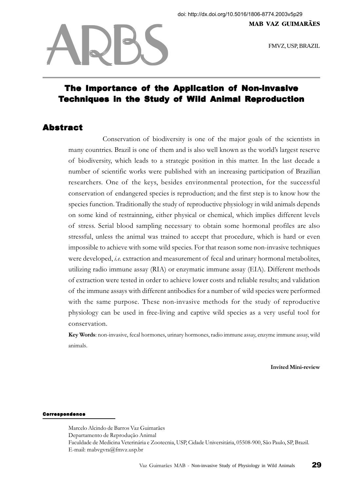FMVZ, USP, BRAZIL

## The Importance of the Application of Non-invasive Techniques in the Study of Wild Animal Reproduction

## Abstract

ARBS

Conservation of biodiversity is one of the major goals of the scientists in many countries. Brazil is one of them and is also well known as the world's largest reserve of biodiversity, which leads to a strategic position in this matter. In the last decade a number of scientific works were published with an increasing participation of Brazilian researchers. One of the keys, besides environmental protection, for the successful conservation of endangered species is reproduction; and the first step is to know how the species function. Traditionally the study of reproductive physiology in wild animals depends on some kind of restrainning, either physical or chemical, which implies different levels of stress. Serial blood sampling necessary to obtain some hormonal profiles are also stressful, unless the animal was trained to accept that procedure, which is hard or even impossible to achieve with some wild species. For that reason some non-invasive techniques were developed, *i.e.* extraction and measurement of fecal and urinary hormonal metabolites, utilizing radio immune assay (RIA) or enzymatic immune assay (EIA). Different methods of extraction were tested in order to achieve lower costs and reliable results; and validation of the immune assays with different antibodies for a number of wild species were performed with the same purpose. These non-invasive methods for the study of reproductive physiology can be used in free-living and captive wild species as a very useful tool for conservation.

Key Words: non-invasive, fecal hormones, urinary hormones, radio immune assay, enzyme immune assay, wild animals.

Invited Mini-review

## Correspondence

Marcelo Alcindo de Barros Vaz Guimarães Departamento de Reprodução Animal Faculdade de Medicina Veterinária e Zootecnia, USP, Cidade Universitária, 05508-900, São Paulo, SP, Brazil. E-mail: mabvgvra@fmvz.usp.br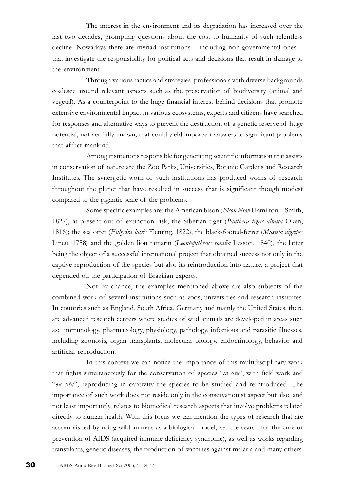The interest in the environment and its degradation has increased over the last two decades, prompting questions about the cost to humanity of such relentless decline. Nowadays there are myriad institutions – including non-governmental ones – that investigate the responsibility for political acts and decisions that result in damage to the environment.

Through various tactics and strategies, professionals with diverse backgrounds coalesce around relevant aspects such as the preservation of biodiversity (animal and vegetal). As a counterpoint to the huge financial interest behind decisions that promote extensive environmental impact in various ecosystems, experts and citizens have searched for responses and alternative ways to prevent the destruction of a genetic reserve of huge potential, not yet fully known, that could yield important answers to significant problems that afflict mankind.

Among institutions responsible for generating scientific information that assists in conservation of nature are the Zoo Parks, Universities, Botanic Gardens and Research Institutes. The synergetic work of such institutions has produced works of research throughout the planet that have resulted in success that is significant though modest compared to the gigantic scale of the problems.

Some specific examples are: the American bison (Bison bison Hamilton – Smith, 1827), at present out of extinction risk; the Siberian tiger (Panthera tigris altaica Oken, 1816); the sea otter (Enhydra lutris Fleming, 1822); the black-footed-ferret (Mustela nigripes Lineu, 1758) and the golden lion tamarin (Leontopithecus rosalia Lesson, 1840), the latter being the object of a successful international project that obtained success not only in the captive reproduction of the species but also its reintroduction into nature, a project that depended on the participation of Brazilian experts.

Not by chance, the examples mentioned above are also subjects of the combined work of several institutions such as zoos, universities and research institutes. In countries such as England, South Africa, Germany and mainly the United States, there are advanced research centers where studies of wild animals are developed in areas such as: immunology, pharmacology, physiology, pathology, infectious and parasitic illnesses, including zoonosis, organ transplants, molecular biology, endocrinology, behavior and artificial reproduction.

In this context we can notice the importance of this multidisciplinary work that fights simultaneously for the conservation of species "in situ", with field work and "ex situ", reproducing in captivity the species to be studied and reintroduced. The importance of such work does not reside only in the conservationist aspect but also, and not least importantly, relates to biomedical research aspects that involve problems related directly to human health. With this focus we can mention the types of research that are accomplished by using wild animals as a biological model, i.e.: the search for the cure or prevention of AIDS (acquired immune deficiency syndrome), as well as works regarding transplants, genetic diseases, the production of vaccines against malaria and many others.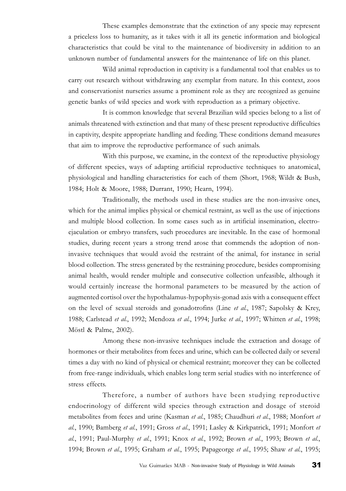These examples demonstrate that the extinction of any specie may represent a priceless loss to humanity, as it takes with it all its genetic information and biological characteristics that could be vital to the maintenance of biodiversity in addition to an unknown number of fundamental answers for the maintenance of life on this planet.

Wild animal reproduction in captivity is a fundamental tool that enables us to carry out research without withdrawing any exemplar from nature. In this context, zoos and conservationist nurseries assume a prominent role as they are recognized as genuine genetic banks of wild species and work with reproduction as a primary objective.

It is common knowledge that several Brazilian wild species belong to a list of animals threatened with extinction and that many of these present reproductive difficulties in captivity, despite appropriate handling and feeding. These conditions demand measures that aim to improve the reproductive performance of such animals.

With this purpose, we examine, in the context of the reproductive physiology of different species, ways of adapting artificial reproductive techniques to anatomical, physiological and handling characteristics for each of them (Short, 1968; Wildt & Bush, 1984; Holt & Moore, 1988; Durrant, 1990; Hearn, 1994).

Traditionally, the methods used in these studies are the non-invasive ones, which for the animal implies physical or chemical restraint, as well as the use of injections and multiple blood collection. In some cases such as in artificial insemination, electroejaculation or embryo transfers, such procedures are inevitable. In the case of hormonal studies, during recent years a strong trend arose that commends the adoption of noninvasive techniques that would avoid the restraint of the animal, for instance in serial blood collection. The stress generated by the restraining procedure, besides compromising animal health, would render multiple and consecutive collection unfeasible, although it would certainly increase the hormonal parameters to be measured by the action of augmented cortisol over the hypothalamus-hypophysis-gonad axis with a consequent effect on the level of sexual steroids and gonadotrofins (Line *et al.*, 1987; Sapolsky & Krey, 1988; Carlstead et al., 1992; Mendoza et al., 1994; Jurke et al., 1997; Whitten et al., 1998; Möstl & Palme, 2002).

Among these non-invasive techniques include the extraction and dosage of hormones or their metabolites from feces and urine, which can be collected daily or several times a day with no kind of physical or chemical restraint; moreover they can be collected from free-range individuals, which enables long term serial studies with no interference of stress effects.

Therefore, a number of authors have been studying reproductive endocrinology of different wild species through extraction and dosage of steroid metabolites from feces and urine (Kasman et al., 1985; Chaudhuri et al., 1988; Monfort et al., 1990; Bamberg et al., 1991; Gross et al., 1991; Lasley & Kirkpatrick, 1991; Monfort et al., 1991; Paul-Murphy et al., 1991; Knox et al., 1992; Brown et al., 1993; Brown et al., 1994; Brown et al., 1995; Graham et al., 1995; Papageorge et al., 1995; Shaw et al., 1995;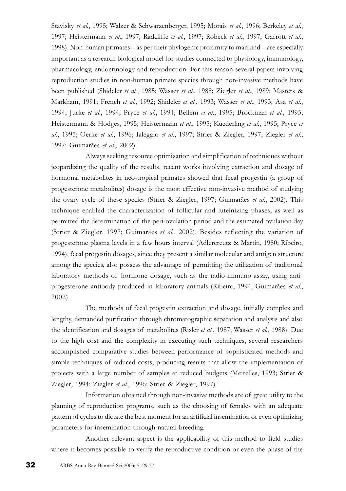Stavisky et al., 1995; Walzer & Schwarzenberger, 1995; Morais et al., 1996; Berkeley et al., 1997; Heistermann et al., 1997; Radcliffe et al., 1997; Robeck et al., 1997; Garrott et al., 1998). Non-human primates – as per their phylogenic proximity to mankind – are especially important as a research biological model for studies connected to physiology, immunology, pharmacology, endocrinology and reproduction. For this reason several papers involving reproduction studies in non-human primate species through non-invasive methods have been published (Shideler et al., 1985; Wasser et al., 1988; Ziegler et al., 1989; Masters & Markham, 1991; French et al., 1992; Shideler et al., 1993; Wasser et al., 1993; Asa et al., 1994; Jurke et al., 1994; Pryce et al., 1994; Bellem et al., 1995; Brockman et al., 1995; Heistermann & Hodges, 1995; Heistermann et al., 1995; Kuederling et al., 1995; Pryce et al., 1995; Oerke et al., 1996; Ialeggio et al., 1997; Strier & Ziegler, 1997; Ziegler et al., 1997; Guimarães et al., 2002).

Always seeking resource optimization and simplification of techniques without jeopardizing the quality of the results, recent works involving extraction and dosage of hormonal metabolites in neo-tropical primates showed that fecal progestin (a group of progesterone metabolites) dosage is the most effective non-invasive method of studying the ovary cycle of these species (Strier & Ziegler, 1997; Guimarães et al., 2002). This technique enabled the characterization of follicular and luteinizing phases, as well as permitted the determination of the peri-ovulation period and the estimated ovulation day (Strier & Ziegler, 1997; Guimarães et al., 2002). Besides reflecting the variation of progesterone plasma levels in a few hours interval (Adlercreutz & Martin, 1980; Ribeiro, 1994), fecal progestin dosages, since they present a similar molecular and antigen structure among the species, also possess the advantage of permitting the utilization of traditional laboratory methods of hormone dosage, such as the radio-immuno-assay, using antiprogesterone antibody produced in laboratory animals (Ribeiro, 1994; Guimarães et al., 2002).

The methods of fecal progestin extraction and dosage, initially complex and lengthy, demanded purification through chromatographic separation and analysis and also the identification and dosages of metabolites (Risler *et al.*, 1987; Wasser *et al.*, 1988). Due to the high cost and the complexity in executing such techniques, several researchers accomplished comparative studies between performance of sophisticated methods and simple techniques of reduced costs, producing results that allow the implementation of projects with a large number of samples at reduced budgets (Meirelles, 1993; Strier & Ziegler, 1994; Ziegler et al., 1996; Strier & Ziegler, 1997).

Information obtained through non-invasive methods are of great utility to the planning of reproduction programs, such as the choosing of females with an adequate pattern of cycles to dictate the best moment for an artificial insemination or even optimizing parameters for insemination through natural breeding.

Another relevant aspect is the applicability of this method to field studies where it becomes possible to verify the reproductive condition or even the phase of the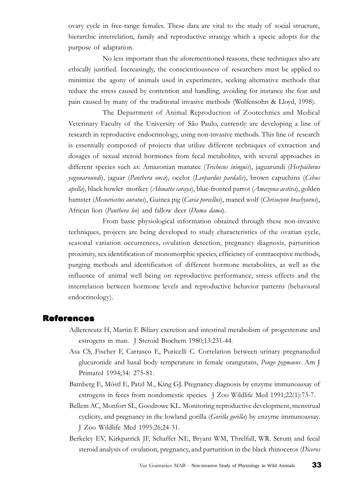ovary cycle in free-range females. These data are vital to the study of social structure, hierarchic interrelation, family and reproductive strategy which a specie adopts for the purpose of adaptation.

No less important than the aforementioned reasons, these techniques also are ethically justified. Increasingly, the conscientiousness of researchers must be applied to minimize the agony of animals used in experiments, seeking alternative methods that reduce the stress caused by contention and handling, avoiding for instance the fear and pain caused by many of the traditional invasive methods (Wolfensohn & Lloyd, 1998).

The Department of Animal Reproduction of Zootechnics and Medical Veterinary Faculty of the University of São Paulo, currently are developing a line of research in reproductive endocrinology, using non-invasive methods. This line of research is essentially composed of projects that utilize different techniques of extraction and dosages of sexual steroid hormones from fecal metabolites, with several approaches in different species such as: Amazonian manatee (Trichecus ininguis), jaguarundi (Herpailurus yagouaroundi), jaguar (Panthera onca), ocelot (Leopardus pardalis), brown capuchins (Cebus apella), black howler monkey (Alouatta caraya), blue-fronted parrot (Amazona aestiva), golden hamster (Mesocricetus auratus), Guinea pig (Cavia porcellus), maned wolf (Chrisocyon brachyurus), African lion (Panthera leo) and fallow deer (Dama dama).

From basic physiological information obtained through these non-invasive techniques, projects are being developed to study characteristics of the ovarian cycle, seasonal variation occurrences, ovulation detection, pregnancy diagnosis, parturition proximity, sex identification of monomorphic species, efficiency of contraceptive methods, purging methods and identification of different hormone metabolites, as well as the influence of animal well being on reproductive performance, stress effects and the interrelation between hormone levels and reproductive behavior patterns (behavioral endocrinology).

## References

- Adlercreutz H, Martin F. Biliary excretion and intestinal metabolism of progesterone and estrogens in man. J Steroid Biochem 1980;13:231-44.
- Asa CS, Fischer F, Carrasco E, Puricelli C. Correlation between urinary pregnanediol glucuronide and basal body temperature in female orangutans, Pongo pygmaeus. Am J Primatol 1994;34: 275-81.
- Bamberg E, Möstl E, Patzl M., King GJ. Pregnancy diagnosis by enzyme immunoassay of estrogens in feces from nondomestic species. J Zoo Wildlife Med 1991;22(1):73-7.
- Bellem AC, Monfort SL, Goodrowe KL. Monitoring reproductive development, menstrual cyclicity, and pregnancy in the lowland gorilla (Gorilla gorilla) by enzyme immunoassay. J Zoo Wildlife Med 1995:26;24-31.
- Berkeley EV, Kirkpatrick JF, Schaffer NE, Bryant WM, Threlfall, WR. Serum and fecal steroid analysis of ovulation, pregnancy, and parturition in the black rhinoceros (Diceros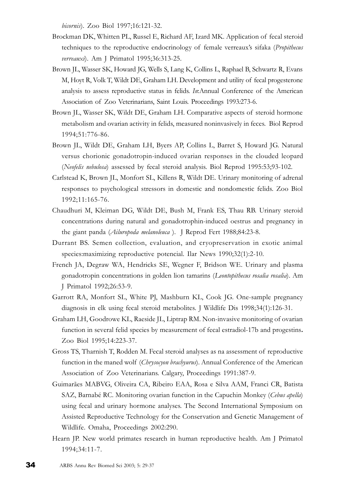bicornis). Zoo Biol 1997;16:121-32.

- Brockman DK, Whitten PL, Russel E, Richard AF, Izard MK. Application of fecal steroid techniques to the reproductive endocrinology of female verreaux's sifaka (Propithecus verreauxi). Am J Primatol 1995;36:313-25.
- Brown JL, Wasser SK, Howard JG, Wells S, Lang K, Collins L, Raphael B, Schwartz R, Evans M, Hoyt R, Volk T, Wildt DE, Graham LH. Development and utility of fecal progesterone analysis to assess reproductive status in felids. In:Annual Conference of the American Association of Zoo Veterinarians, Saint Louis. Proceedings 1993:273-6.
- Brown JL, Wasser SK, Wildt DE, Graham LH. Comparative aspects of steroid hormone metabolism and ovarian activity in felids, measured noninvasively in feces. Biol Reprod 1994;51:776-86.
- Brown JL, Wildt DE, Graham LH, Byers AP, Collins L, Barret S, Howard JG. Natural versus chorionic gonadotropin-induced ovarian responses in the clouded leopard (Neofelis nebulosa) assessed by fecal steroid analysis. Biol Reprod 1995:53;93-102.
- Carlstead K, Brown JL, Monfort SL, Killens R, Wildt DE. Urinary monitoring of adrenal responses to psychological stressors in domestic and nondomestic felids. Zoo Biol 1992;11:165-76.
- Chaudhuri M, Kleiman DG, Wildt DE, Bush M, Frank ES, Thau RB. Urinary steroid concentrations during natural and gonadotrophin-induced oestrus and pregnancy in the giant panda (Ailuropoda melanoleuca). J Reprod Fert 1988;84:23-8.
- Durrant BS. Semen collection, evaluation, and cryopreservation in exotic animal species:maximizing reproductive potencial. Ilar News 1990;32(1):2-10.
- French JA, Degraw WA, Hendricks SE, Wegner F, Bridson WE. Urinary and plasma gonadotropin concentrations in golden lion tamarins (Leontopithecus rosalia rosalia). Am J Primatol 1992;26:53-9.
- Garrott RA, Monfort SL, White PJ, Mashburn KL, Cook JG. One-sample pregnancy diagnosis in elk using fecal steroid metabolites. J Wildlife Dis 1998;34(1):126-31.
- Graham LH, Goodrowe KL, Raeside JL, Liptrap RM. Non-invasive monitoring of ovarian function in several felid species by measurement of fecal estradiol-17b and progestins. Zoo Biol 1995;14:223-37.
- Gross TS, Tharnish T, Rodden M. Fecal steroid analyses as na assessment of reproductive function in the maned wolf (Chrysocyon brachyurus). Annual Conference of the American Association of Zoo Veterinarians. Calgary, Proceedings 1991:387-9.
- Guimarães MABVG, Oliveira CA, Ribeiro EAA, Rosa e Silva AAM, Franci CR, Batista SAZ, Barnabé RC. Monitoring ovarian function in the Capuchin Monkey (Cebus apella) using fecal and urinary hormone analyses. The Second International Symposium on Assisted Reproductive Technology for the Conservation and Genetic Management of Wildlife. Omaha, Proceedings 2002:290.
- Hearn JP. New world primates research in human reproductive health. Am J Primatol 1994;34:11-7.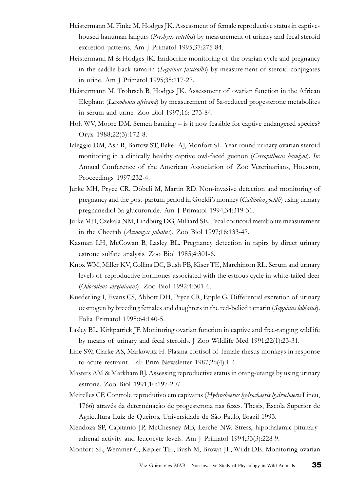- Heistermann M, Finke M, Hodges JK. Assessment of female reproductive status in captivehoused hanuman langurs (Presbytis entellus) by measurement of urinary and fecal steroid excretion patterns. Am J Primatol 1995;37:275-84.
- Heistermann M & Hodges JK. Endocrine monitoring of the ovarian cycle and pregnancy in the saddle-back tamarin (Saguinus fuscicollis) by measurement of steroid conjugates in urine. Am J Primatol 1995;35:117-27.
- Heistermann M, Trohrsch B, Hodges JK. Assessment of ovarian function in the African Elephant (Loxodonta africana) by measurement of 5a-reduced progesterone metabolites in serum and urine. Zoo Biol 1997;16: 273-84.
- Holt WV, Moore DM. Semen banking is it now feasible for captive endangered species? Oryx 1988;22(3):172-8.
- Ialeggio DM, Ash R, Bartow ST, Baker AJ, Monfort SL. Year-round urinary ovarian steroid monitoring in a clinically healthy captive owl-faced guenon (Cercopithecus hamlyni). In: Annual Conference of the American Association of Zoo Veterinarians, Houston, Proceedings 1997:232-4.
- Jurke MH, Pryce CR, Döbeli M, Martin RD. Non-invasive detection and monitoring of pregnancy and the post-partum period in Goeldi's monkey (Callimico goeldii) using urinary pregnanediol-3a-glucuronide. Am J Primatol 1994;34:319-31.
- Jurke MH, Czekala NM, Lindburg DG, Milliard SE. Fecal corticoid metabolite measurement in the Cheetah (Acinonyx jubatus). Zoo Biol 1997;16:133-47.
- Kasman LH, McCowan B, Lasley BL. Pregnancy detection in tapirs by direct urinary estrone sulfate analysis. Zoo Biol 1985;4:301-6.
- Knox WM, Miller KV, Collins DC, Bush PB, Kiser TE, Marchinton RL. Serum and urinary levels of reproductive hormones associated with the estrous cycle in white-tailed deer (Odocoileus virginianus). Zoo Biol 1992;4:301-6.
- Kuederling I, Evans CS, Abbott DH, Pryce CR, Epple G. Differential excretion of urinary oestrogen by breeding females and daughters in the red-belied tamarin (Saguinus labiatus). Folia Primatol 1995;64:140-5.
- Lasley BL, Kirkpatrick JF. Monitoring ovarian function in captive and free-ranging wildlife by means of urinary and fecal steroids. J Zoo Wildlife Med 1991;22(1):23-31.
- Line SW, Clarke AS, Markowitz H. Plasma cortisol of female rhesus monkeys in response to acute restraint. Lab Prim Newsletter 1987;26(4):1-4.
- Masters AM & Markham RJ. Assessing reproductive status in orang-utangs by using urinary estrone. Zoo Biol 1991;10:197-207.
- Meirelles CF. Controle reprodutivo em capivaras (Hydrochoerus hydrochaeris hydrochaeris Lineu, 1766) através da determinação de progesterona nas fezes. Thesis, Escola Superior de Agricultura Luiz de Queirós, Universidade de São Paulo, Brazil 1993.
- Mendoza SP, Capitanio JP, McChesney MB, Lerche NW. Stress, hipothalamic-pituitaryadrenal activity and leucocyte levels. Am J Primatol 1994;33(3):228-9.
- Monfort SL, Wemmer C, Kepler TH, Bush M, Brown JL, Wildt DE. Monitoring ovarian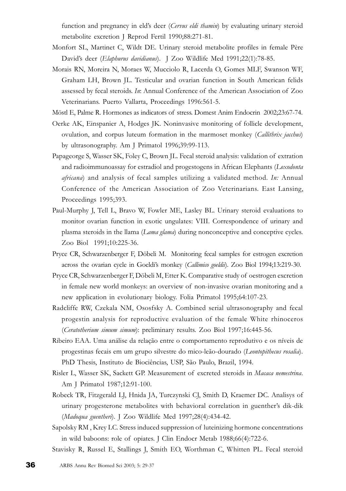function and pregnancy in eld's deer (Cervus eldi thamin) by evaluating urinary steroid metabolite excretion J Reprod Fertil 1990;88:271-81.

- Monfort SL, Martinet C, Wildt DE. Urinary steroid metabolite profiles in female Père David's deer (Elaphurus davidianus). J Zoo Wildlife Med 1991;22(1):78-85.
- Morais RN, Moreira N, Moraes W, Mucciolo R, Lacerda O, Gomes MLF, Swanson WF, Graham LH, Brown JL. Testicular and ovarian function in South American felids assessed by fecal steroids. In: Annual Conference of the American Association of Zoo Veterinarians. Puerto Vallarta, Proceedings 1996:561-5.
- Möstl E, Palme R. Hormones as indicators of stress. Domest Anim Endocrin 2002;23:67-74.
- Oerke AK, Einspanier A, Hodges JK. Noninvasive monitoring of follicle development, ovulation, and corpus luteum formation in the marmoset monkey (Callithrix jacchus) by ultrasonography. Am J Primatol 1996;39:99-113.
- Papageorge S, Wasser SK, Foley C, Brown JL. Fecal steroid analysis: validation of extration and radioimmunoassay for estradiol and progestogens in African Elephants (Loxodonta africana) and analysis of fecal samples utilizing a validated method. In: Annual Conference of the American Association of Zoo Veterinarians. East Lansing, Proceedings 1995;393.
- Paul-Murphy J, Tell L, Bravo W, Fowler ME, Lasley BL. Urinary steroid evaluations to monitor ovarian function in exotic ungulates: VIII. Correspondence of urinary and plasma steroids in the llama (Lama glama) during nonconceptive and conceptive cycles. Zoo Biol 1991;10:225-36.
- Pryce CR, Schwarzenberger F, Döbeli M. Monitoring fecal samples for estrogen excretion across the ovarian cycle in Goeldi's monkey (Callimico goeldii). Zoo Biol 1994;13:219-30.
- Pryce CR, Schwarzenberger F, Döbeli M, Etter K. Comparative study of oestrogen excretion in female new world monkeys: an overview of non-invasive ovarian monitoring and a new application in evolutionary biology. Folia Primatol 1995;64:107-23.
- Radcliffe RW, Czekala NM, Ososfsky A. Combined serial ultrasonography and fecal progestin analysis for reproductive evaluation of the female White rhinoceros (Ceratotherium simum simum): preliminary results. Zoo Biol 1997;16:445-56.
- Ribeiro EAA. Uma análise da relação entre o comportamento reprodutivo e os níveis de progestinas fecais em um grupo silvestre do mico-leão-dourado (Leontopithecus rosalia). PhD Thesis, Instituto de Biociências, USP, São Paulo, Brazil, 1994.
- Risler L, Wasser SK, Sackett GP. Measurement of excreted steroids in Macaca nemestrina. Am J Primatol 1987;12:91-100.
- Robeck TR, Fitzgerald LJ, Hnida JA, Turczynski CJ, Smith D, Kraemer DC. Analisys of urinary progesterone metabolites with behavioral correlation in guenther's dik-dik (Madoqua guentheri). J Zoo Wildlife Med 1997;28(4):434-42.
- Sapolsky RM , Krey LC. Stress induced suppression of luteinizing hormone concentrations in wild baboons: role of opiates. J Clin Endocr Metab 1988;66(4):722-6.
- Stavisky R, Russel E, Stallings J, Smith EO, Worthman C, Whitten PL. Fecal steroid